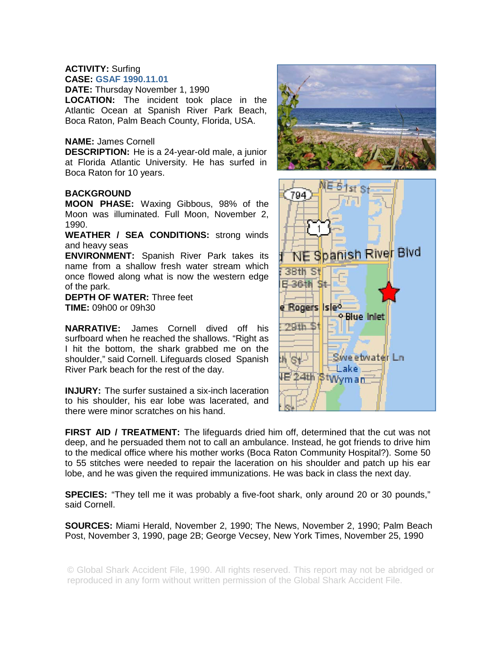### **ACTIVITY:** Surfing **CASE: GSAF 1990.11.01**

**DATE:** Thursday November 1, 1990

**LOCATION:** The incident took place in the Atlantic Ocean at Spanish River Park Beach, Boca Raton, Palm Beach County, Florida, USA.

## **NAME:** James Cornell

**DESCRIPTION:** He is a 24-year-old male, a junior at Florida Atlantic University. He has surfed in Boca Raton for 10 years.

# **BACKGROUND**

**MOON PHASE:** Waxing Gibbous, 98% of the Moon was illuminated. Full Moon, November 2, 1990.

**WEATHER / SEA CONDITIONS:** strong winds and heavy seas

**ENVIRONMENT:** Spanish River Park takes its name from a shallow fresh water stream which once flowed along what is now the western edge of the park.

**DEPTH OF WATER:** Three feet **TIME:** 09h00 or 09h30

**NARRATIVE:** James Cornell dived off his surfboard when he reached the shallows. "Right as I hit the bottom, the shark grabbed me on the shoulder," said Cornell. Lifeguards closed Spanish River Park beach for the rest of the day.

**INJURY:** The surfer sustained a six-inch laceration to his shoulder, his ear lobe was lacerated, and there were minor scratches on his hand.

**FIRST AID / TREATMENT:** The lifeguards dried him off, determined that the cut was not deep, and he persuaded them not to call an ambulance. Instead, he got friends to drive him to the medical office where his mother works (Boca Raton Community Hospital?). Some 50 to 55 stitches were needed to repair the laceration on his shoulder and patch up his ear lobe, and he was given the required immunizations. He was back in class the next day.

**SPECIES:** "They tell me it was probably a five-foot shark, only around 20 or 30 pounds," said Cornell.

**SOURCES:** Miami Herald, November 2, 1990; The News, November 2, 1990; Palm Beach Post, November 3, 1990, page 2B; George Vecsey, New York Times, November 25, 1990

© Global Shark Accident File, 1990. All rights reserved. This report may not be abridged or reproduced in any form without written permission of the Global Shark Accident File.